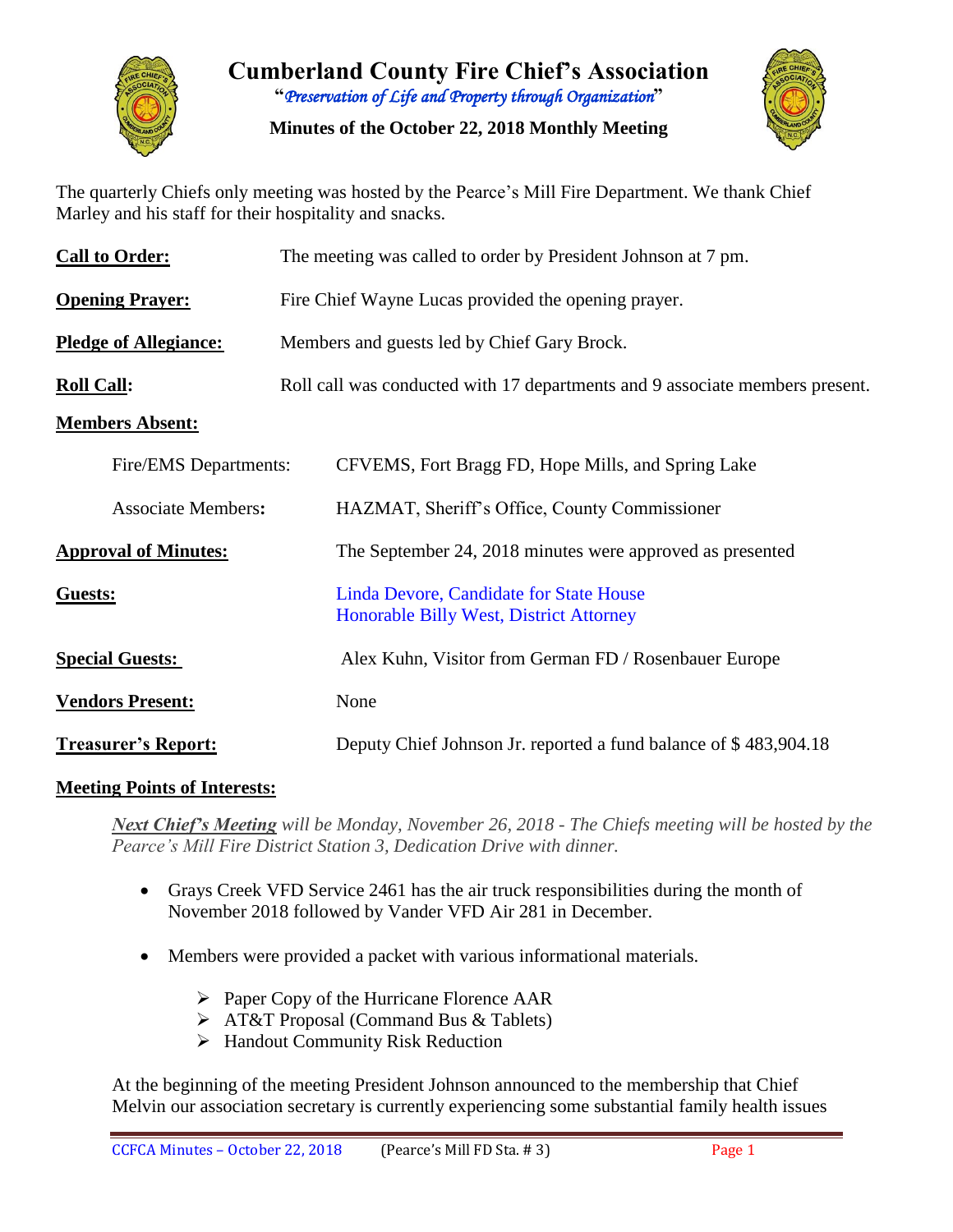

**Cumberland County Fire Chief's Association "***Preservation of Life and Property through Organization***"**

**Minutes of the October 22, 2018 Monthly Meeting**



The quarterly Chiefs only meeting was hosted by the Pearce's Mill Fire Department. We thank Chief Marley and his staff for their hospitality and snacks.

| <b>Call to Order:</b>        | The meeting was called to order by President Johnson at 7 pm.                             |  |  |  |  |  |  |  |  |
|------------------------------|-------------------------------------------------------------------------------------------|--|--|--|--|--|--|--|--|
| <b>Opening Prayer:</b>       | Fire Chief Wayne Lucas provided the opening prayer.                                       |  |  |  |  |  |  |  |  |
| <b>Pledge of Allegiance:</b> | Members and guests led by Chief Gary Brock.                                               |  |  |  |  |  |  |  |  |
| <b>Roll Call:</b>            | Roll call was conducted with 17 departments and 9 associate members present.              |  |  |  |  |  |  |  |  |
| <b>Members Absent:</b>       |                                                                                           |  |  |  |  |  |  |  |  |
| Fire/EMS Departments:        | CFVEMS, Fort Bragg FD, Hope Mills, and Spring Lake                                        |  |  |  |  |  |  |  |  |
| <b>Associate Members:</b>    | HAZMAT, Sheriff's Office, County Commissioner                                             |  |  |  |  |  |  |  |  |
| <b>Approval of Minutes:</b>  | The September 24, 2018 minutes were approved as presented                                 |  |  |  |  |  |  |  |  |
| Guests:                      | Linda Devore, Candidate for State House<br><b>Honorable Billy West, District Attorney</b> |  |  |  |  |  |  |  |  |
| <b>Special Guests:</b>       | Alex Kuhn, Visitor from German FD / Rosenbauer Europe                                     |  |  |  |  |  |  |  |  |
| <b>Vendors Present:</b>      | None                                                                                      |  |  |  |  |  |  |  |  |
| <b>Treasurer's Report:</b>   | Deputy Chief Johnson Jr. reported a fund balance of \$483,904.18                          |  |  |  |  |  |  |  |  |

#### **Meeting Points of Interests:**

*Next Chief's Meeting will be Monday, November 26, 2018 - The Chiefs meeting will be hosted by the Pearce's Mill Fire District Station 3, Dedication Drive with dinner.* 

- Grays Creek VFD Service 2461 has the air truck responsibilities during the month of November 2018 followed by Vander VFD Air 281 in December.
- Members were provided a packet with various informational materials.
	- $\triangleright$  Paper Copy of the Hurricane Florence AAR
	- > AT&T Proposal (Command Bus & Tablets)
	- $\triangleright$  Handout Community Risk Reduction

At the beginning of the meeting President Johnson announced to the membership that Chief Melvin our association secretary is currently experiencing some substantial family health issues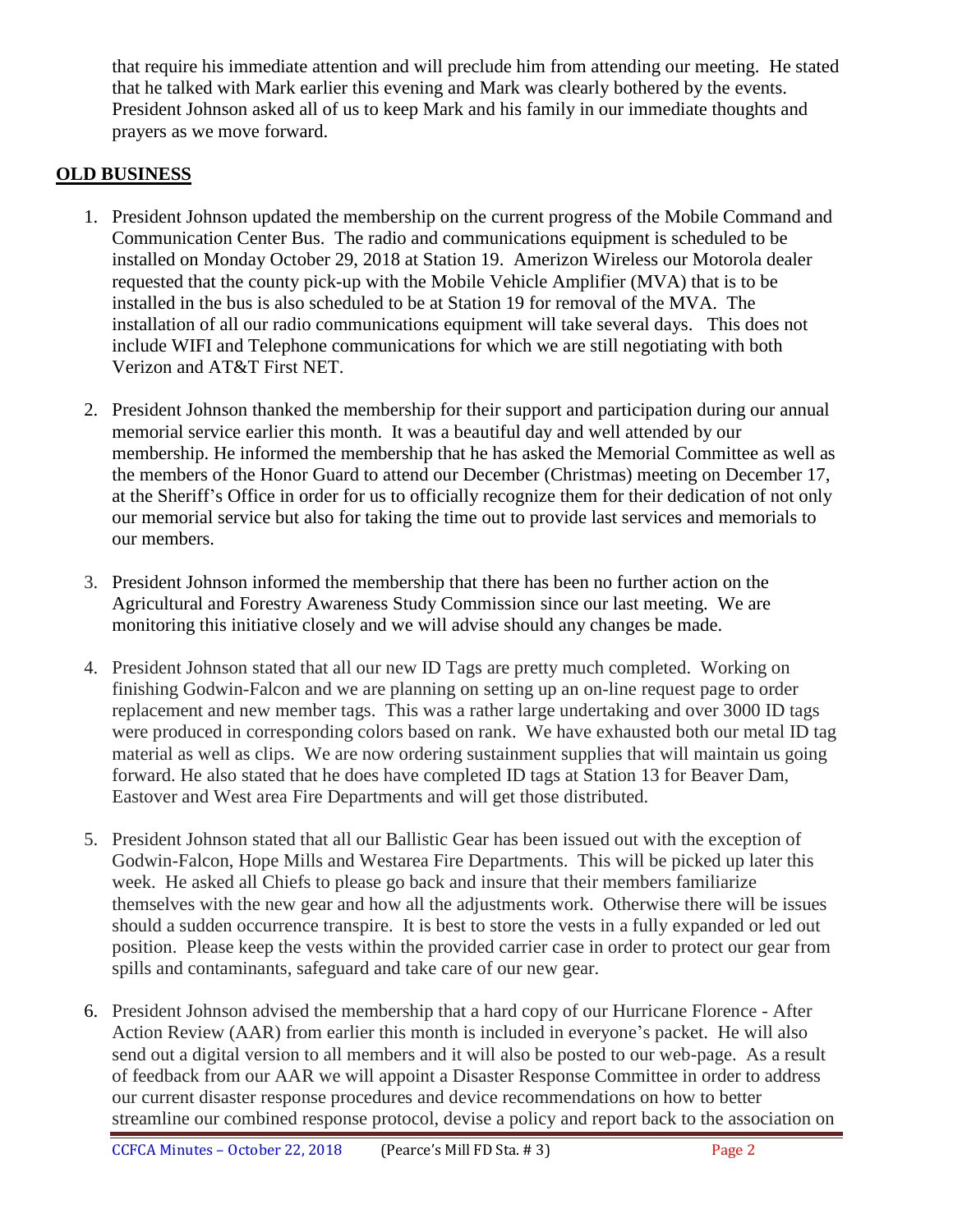that require his immediate attention and will preclude him from attending our meeting. He stated that he talked with Mark earlier this evening and Mark was clearly bothered by the events. President Johnson asked all of us to keep Mark and his family in our immediate thoughts and prayers as we move forward.

#### **OLD BUSINESS**

- 1. President Johnson updated the membership on the current progress of the Mobile Command and Communication Center Bus. The radio and communications equipment is scheduled to be installed on Monday October 29, 2018 at Station 19. Amerizon Wireless our Motorola dealer requested that the county pick-up with the Mobile Vehicle Amplifier (MVA) that is to be installed in the bus is also scheduled to be at Station 19 for removal of the MVA. The installation of all our radio communications equipment will take several days. This does not include WIFI and Telephone communications for which we are still negotiating with both Verizon and AT&T First NET.
- 2. President Johnson thanked the membership for their support and participation during our annual memorial service earlier this month. It was a beautiful day and well attended by our membership. He informed the membership that he has asked the Memorial Committee as well as the members of the Honor Guard to attend our December (Christmas) meeting on December 17, at the Sheriff's Office in order for us to officially recognize them for their dedication of not only our memorial service but also for taking the time out to provide last services and memorials to our members.
- 3. President Johnson informed the membership that there has been no further action on the Agricultural and Forestry Awareness Study Commission since our last meeting. We are monitoring this initiative closely and we will advise should any changes be made.
- 4. President Johnson stated that all our new ID Tags are pretty much completed. Working on finishing Godwin-Falcon and we are planning on setting up an on-line request page to order replacement and new member tags. This was a rather large undertaking and over 3000 ID tags were produced in corresponding colors based on rank. We have exhausted both our metal ID tag material as well as clips. We are now ordering sustainment supplies that will maintain us going forward. He also stated that he does have completed ID tags at Station 13 for Beaver Dam, Eastover and West area Fire Departments and will get those distributed.
- 5. President Johnson stated that all our Ballistic Gear has been issued out with the exception of Godwin-Falcon, Hope Mills and Westarea Fire Departments. This will be picked up later this week. He asked all Chiefs to please go back and insure that their members familiarize themselves with the new gear and how all the adjustments work. Otherwise there will be issues should a sudden occurrence transpire. It is best to store the vests in a fully expanded or led out position. Please keep the vests within the provided carrier case in order to protect our gear from spills and contaminants, safeguard and take care of our new gear.
- 6. President Johnson advised the membership that a hard copy of our Hurricane Florence After Action Review (AAR) from earlier this month is included in everyone's packet. He will also send out a digital version to all members and it will also be posted to our web-page. As a result of feedback from our AAR we will appoint a Disaster Response Committee in order to address our current disaster response procedures and device recommendations on how to better streamline our combined response protocol, devise a policy and report back to the association on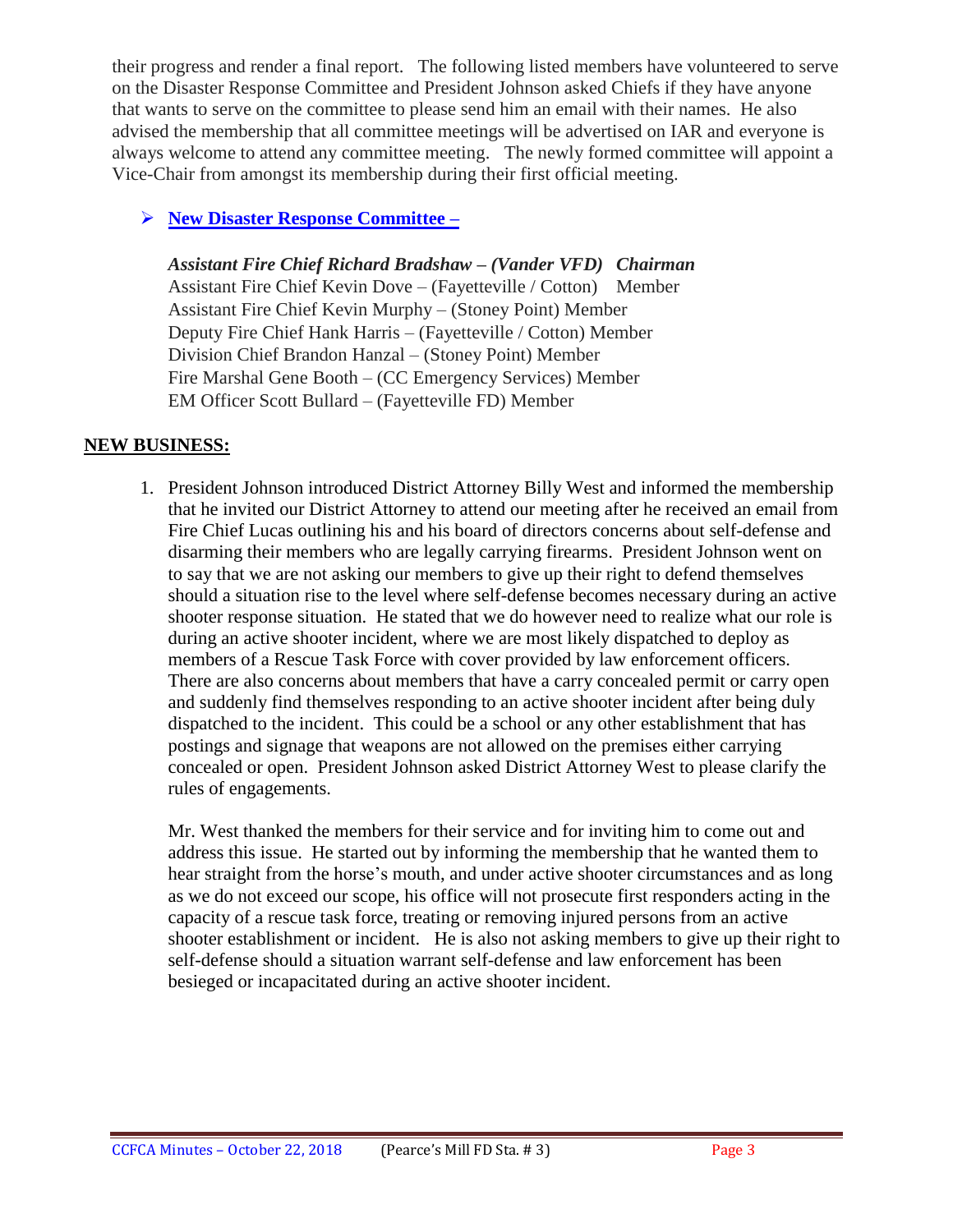their progress and render a final report. The following listed members have volunteered to serve on the Disaster Response Committee and President Johnson asked Chiefs if they have anyone that wants to serve on the committee to please send him an email with their names. He also advised the membership that all committee meetings will be advertised on IAR and everyone is always welcome to attend any committee meeting. The newly formed committee will appoint a Vice-Chair from amongst its membership during their first official meeting.

### **New Disaster Response Committee –**

*Assistant Fire Chief Richard Bradshaw – (Vander VFD) Chairman*  Assistant Fire Chief Kevin Dove – (Fayetteville / Cotton) Member Assistant Fire Chief Kevin Murphy – (Stoney Point) Member Deputy Fire Chief Hank Harris – (Fayetteville / Cotton) Member Division Chief Brandon Hanzal – (Stoney Point) Member Fire Marshal Gene Booth – (CC Emergency Services) Member EM Officer Scott Bullard – (Fayetteville FD) Member

#### **NEW BUSINESS:**

1. President Johnson introduced District Attorney Billy West and informed the membership that he invited our District Attorney to attend our meeting after he received an email from Fire Chief Lucas outlining his and his board of directors concerns about self-defense and disarming their members who are legally carrying firearms. President Johnson went on to say that we are not asking our members to give up their right to defend themselves should a situation rise to the level where self-defense becomes necessary during an active shooter response situation. He stated that we do however need to realize what our role is during an active shooter incident, where we are most likely dispatched to deploy as members of a Rescue Task Force with cover provided by law enforcement officers. There are also concerns about members that have a carry concealed permit or carry open and suddenly find themselves responding to an active shooter incident after being duly dispatched to the incident. This could be a school or any other establishment that has postings and signage that weapons are not allowed on the premises either carrying concealed or open. President Johnson asked District Attorney West to please clarify the rules of engagements.

Mr. West thanked the members for their service and for inviting him to come out and address this issue. He started out by informing the membership that he wanted them to hear straight from the horse's mouth, and under active shooter circumstances and as long as we do not exceed our scope, his office will not prosecute first responders acting in the capacity of a rescue task force, treating or removing injured persons from an active shooter establishment or incident. He is also not asking members to give up their right to self-defense should a situation warrant self-defense and law enforcement has been besieged or incapacitated during an active shooter incident.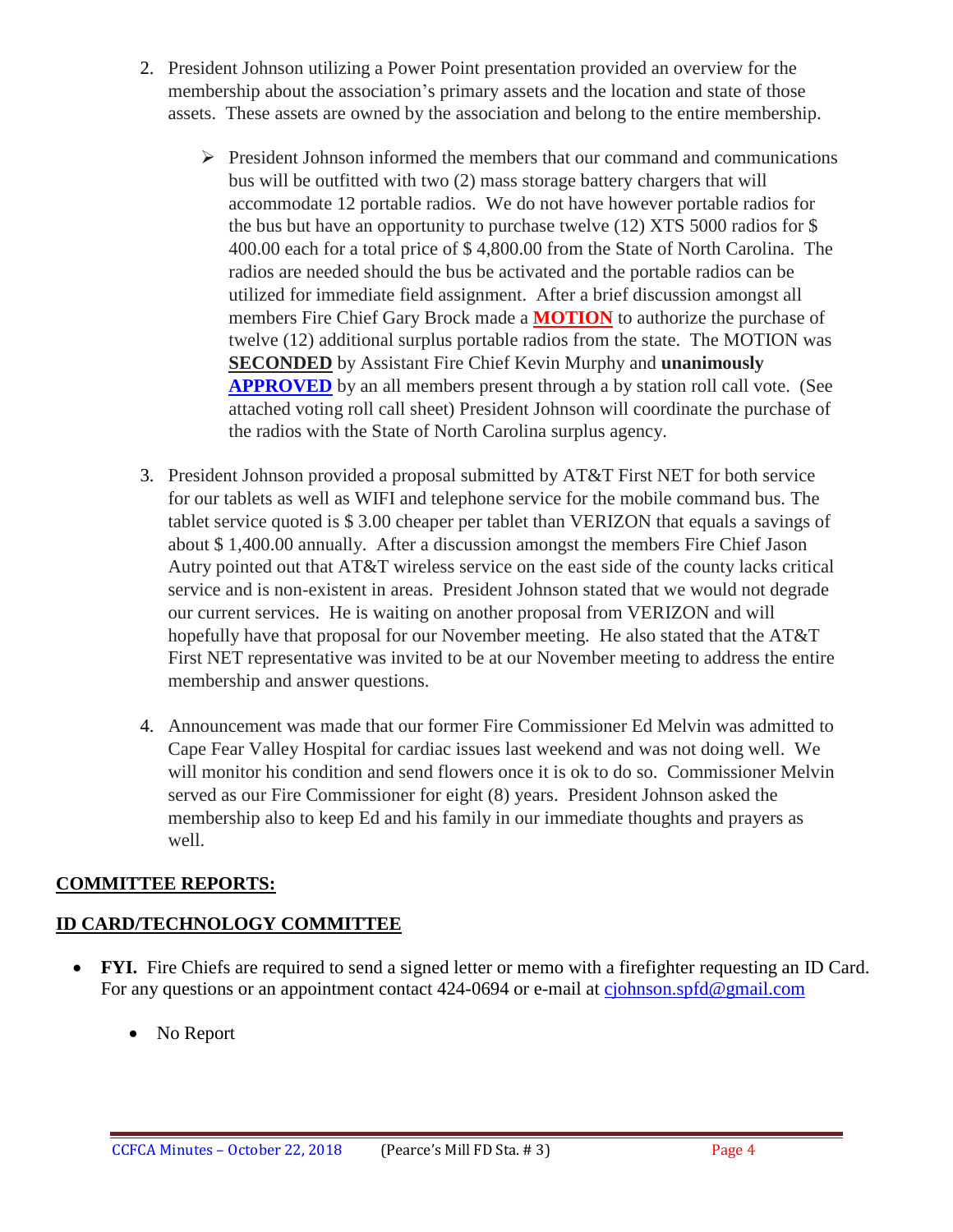- 2. President Johnson utilizing a Power Point presentation provided an overview for the membership about the association's primary assets and the location and state of those assets. These assets are owned by the association and belong to the entire membership.
	- $\triangleright$  President Johnson informed the members that our command and communications bus will be outfitted with two (2) mass storage battery chargers that will accommodate 12 portable radios. We do not have however portable radios for the bus but have an opportunity to purchase twelve (12) XTS 5000 radios for \$ 400.00 each for a total price of \$ 4,800.00 from the State of North Carolina. The radios are needed should the bus be activated and the portable radios can be utilized for immediate field assignment. After a brief discussion amongst all members Fire Chief Gary Brock made a **MOTION** to authorize the purchase of twelve (12) additional surplus portable radios from the state. The MOTION was **SECONDED** by Assistant Fire Chief Kevin Murphy and **unanimously APPROVED** by an all members present through a by station roll call vote. (See attached voting roll call sheet) President Johnson will coordinate the purchase of the radios with the State of North Carolina surplus agency.
- 3. President Johnson provided a proposal submitted by AT&T First NET for both service for our tablets as well as WIFI and telephone service for the mobile command bus. The tablet service quoted is \$ 3.00 cheaper per tablet than VERIZON that equals a savings of about \$ 1,400.00 annually. After a discussion amongst the members Fire Chief Jason Autry pointed out that AT&T wireless service on the east side of the county lacks critical service and is non-existent in areas. President Johnson stated that we would not degrade our current services. He is waiting on another proposal from VERIZON and will hopefully have that proposal for our November meeting. He also stated that the AT&T First NET representative was invited to be at our November meeting to address the entire membership and answer questions.
- 4. Announcement was made that our former Fire Commissioner Ed Melvin was admitted to Cape Fear Valley Hospital for cardiac issues last weekend and was not doing well. We will monitor his condition and send flowers once it is ok to do so. Commissioner Melvin served as our Fire Commissioner for eight (8) years. President Johnson asked the membership also to keep Ed and his family in our immediate thoughts and prayers as well.

# **COMMITTEE REPORTS:**

# **ID CARD/TECHNOLOGY COMMITTEE**

- **FYI.** Fire Chiefs are required to send a signed letter or memo with a firefighter requesting an ID Card. For any questions or an appointment contact 424-0694 or e-mail at [cjohnson.spfd@gmail.com](mailto:cjohnson.spfd@gmail.com)
	- No Report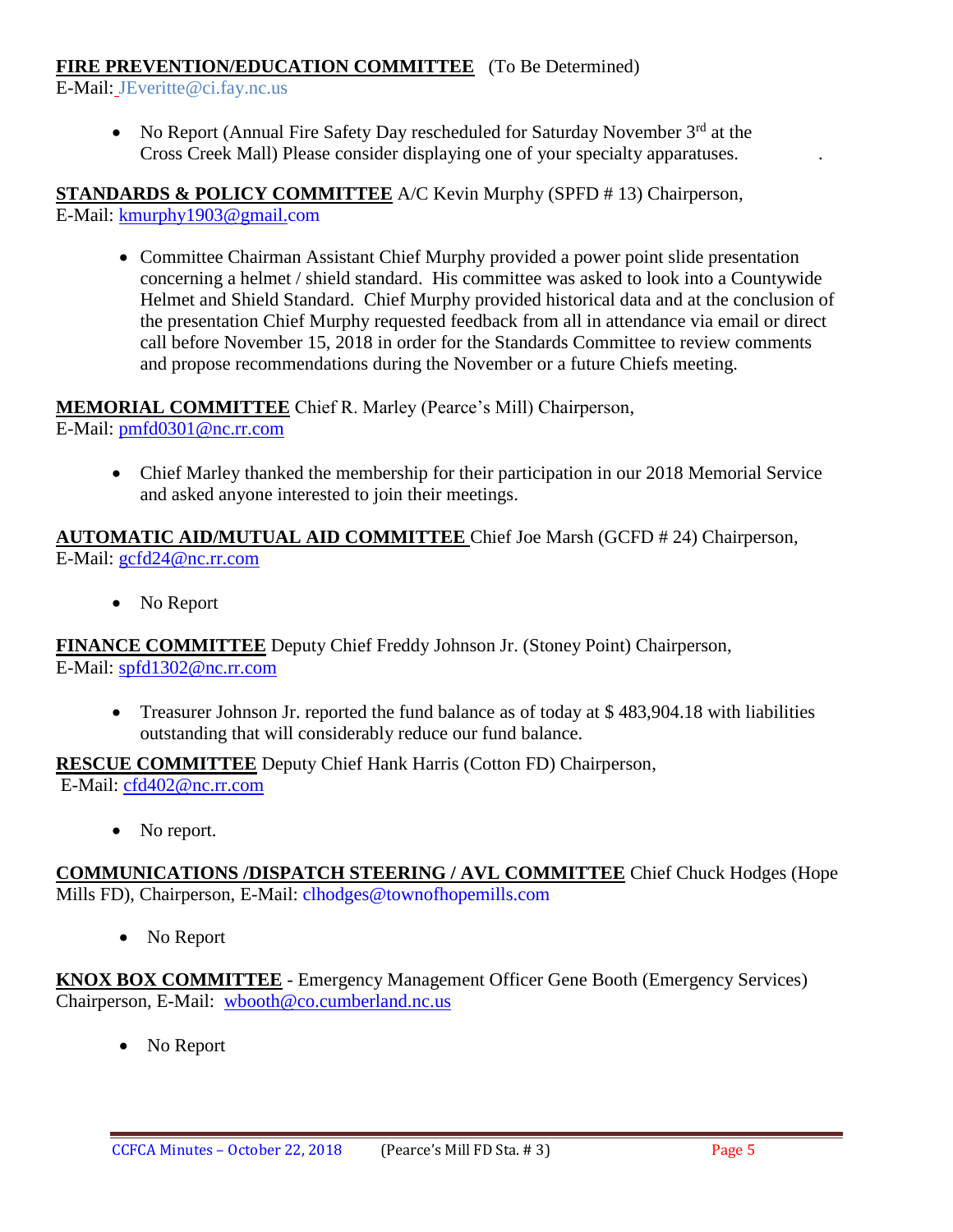#### **FIRE PREVENTION/EDUCATION COMMITTEE** (To Be Determined)

E-Mail: JEveritte@ci.fay.nc.us

• No Report (Annual Fire Safety Day rescheduled for Saturday November  $3<sup>rd</sup>$  at the Cross Creek Mall) Please consider displaying one of your specialty apparatuses. .

**STANDARDS & POLICY COMMITTEE** A/C Kevin Murphy (SPFD # 13) Chairperson, E-Mail: [kmurphy1903@gmail.com](mailto:kmurphy1903@gmail.com)

 Committee Chairman Assistant Chief Murphy provided a power point slide presentation concerning a helmet / shield standard. His committee was asked to look into a Countywide Helmet and Shield Standard. Chief Murphy provided historical data and at the conclusion of the presentation Chief Murphy requested feedback from all in attendance via email or direct call before November 15, 2018 in order for the Standards Committee to review comments and propose recommendations during the November or a future Chiefs meeting.

**MEMORIAL COMMITTEE** Chief R. Marley (Pearce's Mill) Chairperson, E-Mail: [pmfd0301@nc.rr.com](mailto:pmfd0301@nc.rr.com)

 Chief Marley thanked the membership for their participation in our 2018 Memorial Service and asked anyone interested to join their meetings.

**AUTOMATIC AID/MUTUAL AID COMMITTEE** Chief Joe Marsh (GCFD # 24) Chairperson, E-Mail: [gcfd24@nc.rr.com](mailto:gcfd24@nc.rr.com)

• No Report

**FINANCE COMMITTEE** Deputy Chief Freddy Johnson Jr. (Stoney Point) Chairperson, E-Mail: [spfd1302@nc.rr.com](mailto:spfd1302@nc.rr.com)

• Treasurer Johnson Jr. reported the fund balance as of today at \$483,904.18 with liabilities outstanding that will considerably reduce our fund balance.

**RESCUE COMMITTEE** Deputy Chief Hank Harris (Cotton FD) Chairperson,

E-Mail: [cfd402@nc.rr.com](mailto:cfd402@nc.rr.com)

• No report.

**COMMUNICATIONS /DISPATCH STEERING / AVL COMMITTEE** Chief Chuck Hodges (Hope Mills FD), Chairperson, E-Mail: clhodges@townofhopemills.com

• No Report

**KNOX BOX COMMITTEE** - Emergency Management Officer Gene Booth (Emergency Services) Chairperson, E-Mail: [wbooth@co.cumberland.nc.us](mailto:wbooth@co.cumberland.nc.us)

• No Report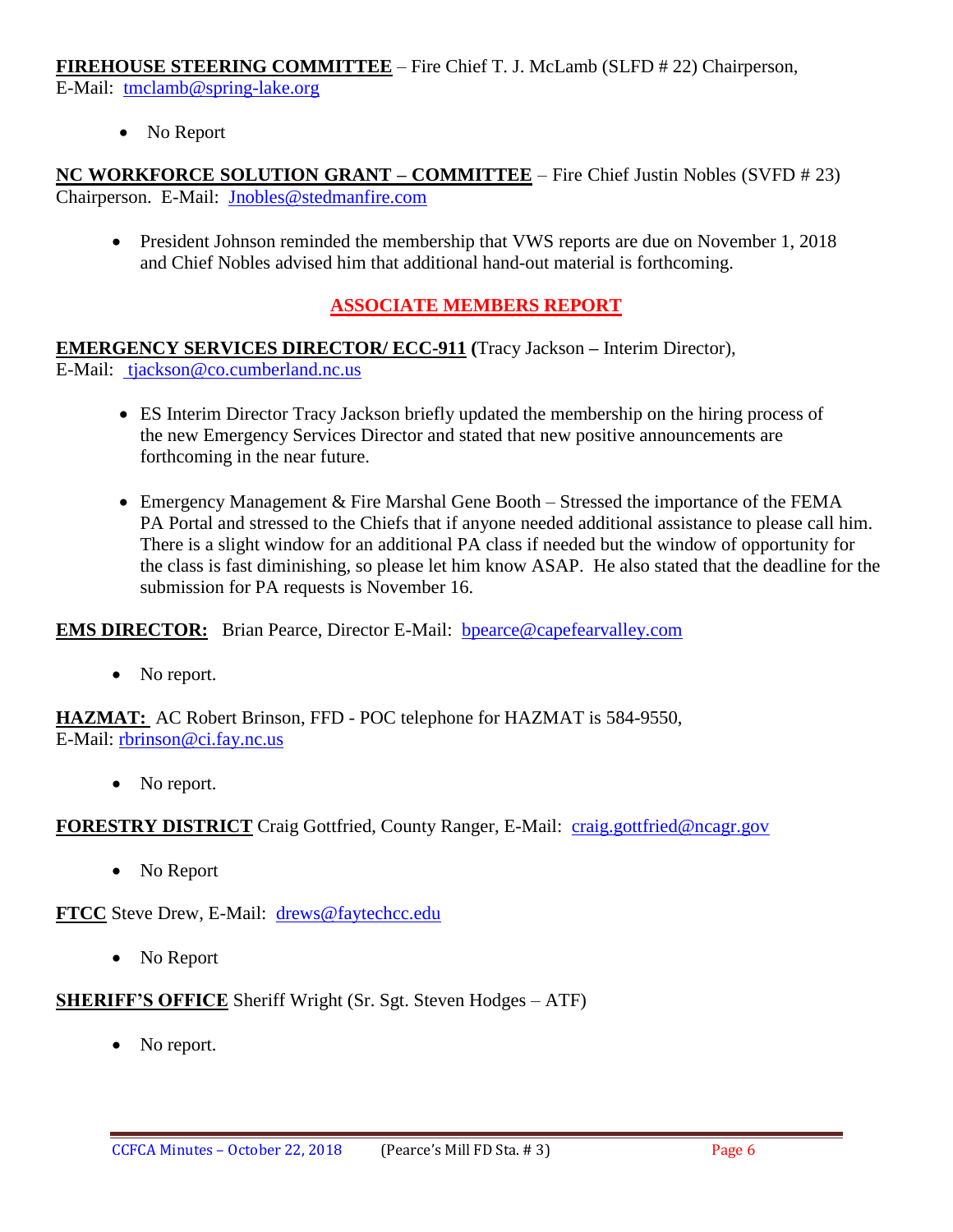**FIREHOUSE STEERING COMMITTEE** – Fire Chief T. J. McLamb (SLFD # 22) Chairperson, E-Mail: [tmclamb@spring-lake.org](mailto:tmclamb@spring-lake.org)

• No Report

**NC WORKFORCE SOLUTION GRANT – COMMITTEE** – Fire Chief Justin Nobles (SVFD # 23) Chairperson. E-Mail: [Jnobles@stedmanfire.com](mailto:Jnobles@stedmanfire.com)

• President Johnson reminded the membership that VWS reports are due on November 1, 2018 and Chief Nobles advised him that additional hand-out material is forthcoming.

#### **ASSOCIATE MEMBERS REPORT**

**EMERGENCY SERVICES DIRECTOR/ ECC-911 (**Tracy Jackson **–** Interim Director), E-Mail: [tjackson@co.cumberland.nc.us](mailto:tjackson@co.cumberland.nc.us)

- ES Interim Director Tracy Jackson briefly updated the membership on the hiring process of the new Emergency Services Director and stated that new positive announcements are forthcoming in the near future.
- Emergency Management & Fire Marshal Gene Booth Stressed the importance of the FEMA PA Portal and stressed to the Chiefs that if anyone needed additional assistance to please call him. There is a slight window for an additional PA class if needed but the window of opportunity for the class is fast diminishing, so please let him know ASAP. He also stated that the deadline for the submission for PA requests is November 16.

**EMS DIRECTOR:** Brian Pearce, Director E-Mail: bpearce@capefearvalley.com

• No report.

**HAZMAT:** AC Robert Brinson, FFD - POC telephone for HAZMAT is 584-9550, E-Mail: [rbrinson@ci.fay.nc.us](mailto:rbrinson@ci.fay.nc.us)

• No report.

**FORESTRY DISTRICT** Craig Gottfried, County Ranger, E-Mail: [craig.gottfried@ncagr.gov](mailto:craig.gottfried@ncagr.gov)

• No Report

**FTCC** Steve Drew, E-Mail: [drews@faytechcc.edu](mailto:drews@faytechcc.edu)

• No Report

**SHERIFF'S OFFICE** Sheriff Wright (Sr. Sgt. Steven Hodges – ATF)

• No report.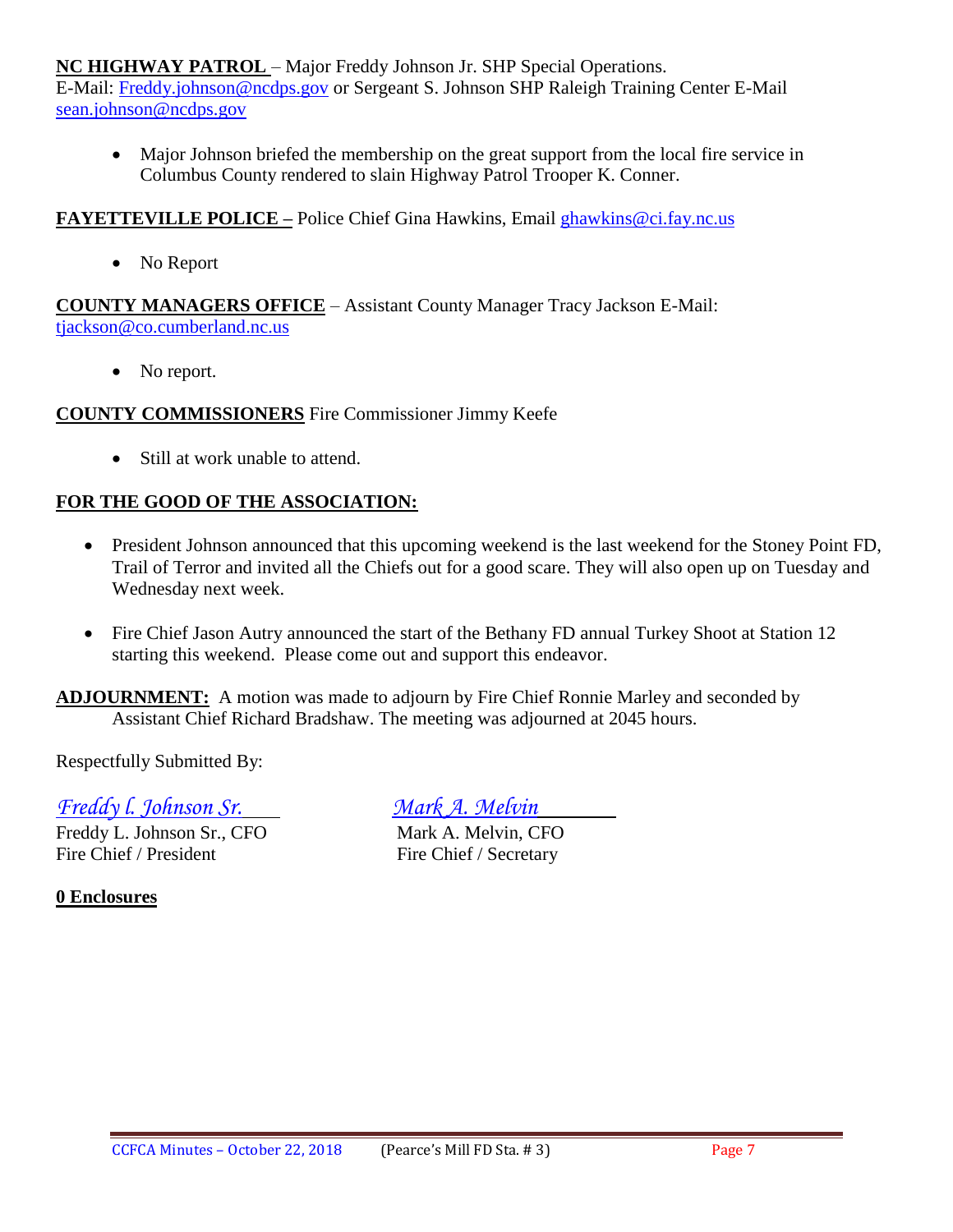**NC HIGHWAY PATROL** – Major Freddy Johnson Jr. SHP Special Operations.

E-Mail: [Freddy.johnson@ncdps.gov](mailto:Freddy.johnson@ncdps.gov) or Sergeant S. Johnson SHP Raleigh Training Center E-Mail [sean.johnson@ncdps.gov](mailto:sean.johnson@ncdps.gov)

• Major Johnson briefed the membership on the great support from the local fire service in Columbus County rendered to slain Highway Patrol Trooper K. Conner.

#### **FAYETTEVILLE POLICE –** Police Chief Gina Hawkins, Email [ghawkins@ci.fay.nc.us](mailto:ghawkins@ci.fay.nc.us)

• No Report

**COUNTY MANAGERS OFFICE** – Assistant County Manager Tracy Jackson E-Mail: [tjackson@co.cumberland.nc.us](mailto:tjackson@co.cumberland.nc.us)

• No report.

#### **COUNTY COMMISSIONERS** Fire Commissioner Jimmy Keefe

• Still at work unable to attend.

#### **FOR THE GOOD OF THE ASSOCIATION:**

- President Johnson announced that this upcoming weekend is the last weekend for the Stoney Point FD, Trail of Terror and invited all the Chiefs out for a good scare. They will also open up on Tuesday and Wednesday next week.
- Fire Chief Jason Autry announced the start of the Bethany FD annual Turkey Shoot at Station 12 starting this weekend. Please come out and support this endeavor.

**ADJOURNMENT:** A motion was made to adjourn by Fire Chief Ronnie Marley and seconded by Assistant Chief Richard Bradshaw. The meeting was adjourned at 2045 hours.

Respectfully Submitted By:

*Freddy l. Johnson Sr. Mark A. Melvin*

Freddy L. Johnson Sr., CFO Mark A. Melvin, CFO Fire Chief / President Fire Chief / Secretary